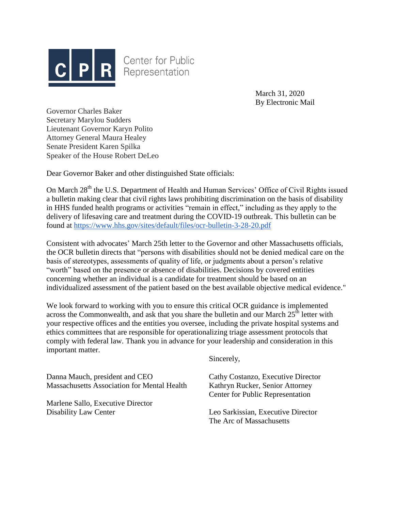

**Center for Public** Representation

> March 31, 2020 By Electronic Mail

Governor Charles Baker Secretary Marylou Sudders Lieutenant Governor Karyn Polito Attorney General Maura Healey Senate President Karen Spilka Speaker of the House Robert DeLeo

Dear Governor Baker and other distinguished State officials:

On March 28<sup>th</sup> the U.S. Department of Health and Human Services' Office of Civil Rights issued a bulletin making clear that civil rights laws prohibiting discrimination on the basis of disability in HHS funded health programs or activities "remain in effect," including as they apply to the delivery of lifesaving care and treatment during the COVID-19 outbreak. This bulletin can be found at<https://www.hhs.gov/sites/default/files/ocr-bulletin-3-28-20.pdf>

Consistent with advocates' March 25th letter to the Governor and other Massachusetts officials, the OCR bulletin directs that "persons with disabilities should not be denied medical care on the basis of stereotypes, assessments of quality of life, or judgments about a person's relative "worth" based on the presence or absence of disabilities. Decisions by covered entities concerning whether an individual is a candidate for treatment should be based on an individualized assessment of the patient based on the best available objective medical evidence."

We look forward to working with you to ensure this critical OCR guidance is implemented across the Commonwealth, and ask that you share the bulletin and our March  $25<sup>th</sup>$  letter with your respective offices and the entities you oversee, including the private hospital systems and ethics committees that are responsible for operationalizing triage assessment protocols that comply with federal law. Thank you in advance for your leadership and consideration in this important matter.

Sincerely,

Danna Mauch, president and CEO Cathy Costanzo, Executive Director Massachusetts Association for Mental Health Kathryn Rucker, Senior Attorney

Marlene Sallo, Executive Director

Center for Public Representation

Disability Law Center Leo Sarkissian, Executive Director The Arc of Massachusetts